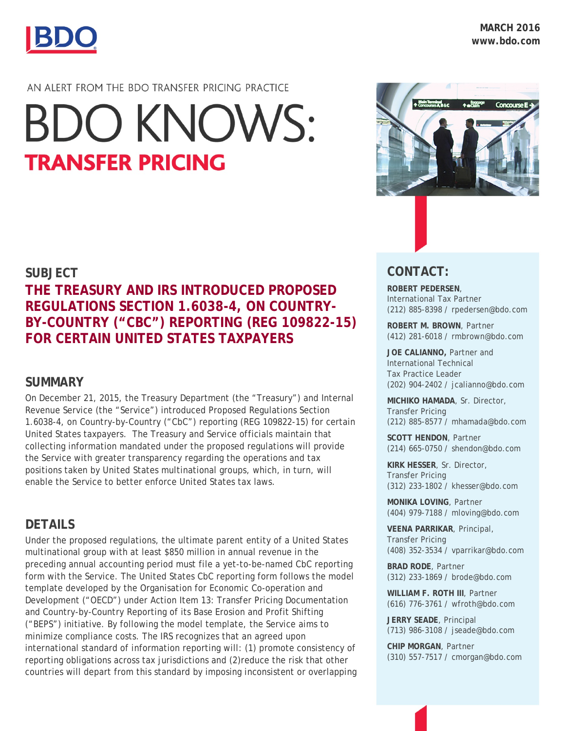

#### AN ALERT FROM THE BDO TRANSFER PRICING PRACTICE

# **BDO KNOWS: TRANSFER PRICING**

#### **SUBJECT**

## **THE TREASURY AND IRS INTRODUCED PROPOSED REGULATIONS SECTION 1.6038-4, ON COUNTRY-BY-COUNTRY ("CBC") REPORTING (REG 109822-15) FOR CERTAIN UNITED STATES TAXPAYERS**

## **SUMMARY**

On December 21, 2015, the Treasury Department (the "Treasury") and Internal Revenue Service (the "Service") introduced Proposed Regulations Section 1.6038-4, on Country-by-Country ("CbC") reporting (REG 109822-15) for certain United States taxpayers. The Treasury and Service officials maintain that collecting information mandated under the proposed regulations will provide the Service with greater transparency regarding the operations and tax positions taken by United States multinational groups, which, in turn, will enable the Service to better enforce United States tax laws.

## **DETAILS**

Under the proposed regulations, the ultimate parent entity of a United States multinational group with at least \$850 million in annual revenue in the preceding annual accounting period must file a yet-to-be-named CbC reporting form with the Service. The United States CbC reporting form follows the model template developed by the Organisation for Economic Co-operation and Development ("OECD") under Action Item 13: Transfer Pricing Documentation and Country-by-Country Reporting of its Base Erosion and Profit Shifting ("BEPS") initiative. By following the model template, the Service aims to minimize compliance costs. The IRS recognizes that an agreed upon international standard of information reporting will: (1) promote consistency of reporting obligations across tax jurisdictions and (2)reduce the risk that other countries will depart from this standard by imposing inconsistent or overlapping



## **CONTACT:**

**ROBERT PEDERSEN**, International Tax Partner (212) 885-8398 / rpedersen@bdo.com

**ROBERT M. BROWN**, Partner (412) 281-6018 / rmbrown@bdo.com

**JOE CALIANNO,** Partner and International Technical Tax Practice Leader (202) 904-2402 / [jcalianno@bdo.com](mailto:jcalianno@bdo.com)

**MICHIKO HAMADA**, Sr. Director, Transfer Pricing (212) 885-8577 / mhamada@bdo.com

**SCOTT HENDON**, Partner (214) 665-0750 / shendon@bdo.com

**KIRK HESSER**, Sr. Director, Transfer Pricing (312) 233-1802 / khesser@bdo.com

**MONIKA LOVING**, Partner (404) 979-7188 / mloving@bdo.com

**VEENA PARRIKAR**, Principal, Transfer Pricing (408) 352-3534 / vparrikar@bdo.com

**BRAD RODE**, Partner (312) 233-1869 / brode@bdo.com

**WILLIAM F. ROTH III**, Partner (616) 776-3761 / wfroth@bdo.com

**JERRY SEADE**, Principal (713) 986-3108 / jseade@bdo.com

**CHIP MORGAN**, Partner (310) 557-7517 / cmorgan@bdo.com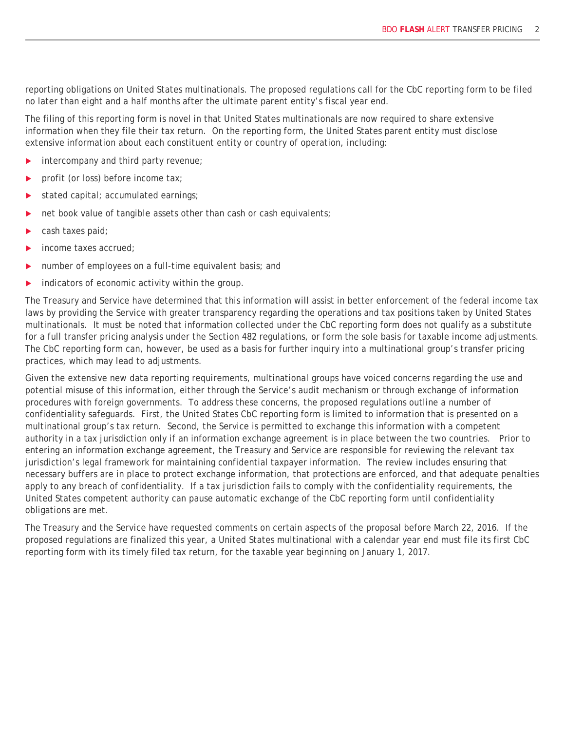reporting obligations on United States multinationals. The proposed regulations call for the CbC reporting form to be filed no later than eight and a half months after the ultimate parent entity's fiscal year end.

The filing of this reporting form is novel in that United States multinationals are now required to share extensive information when they file their tax return. On the reporting form, the United States parent entity must disclose extensive information about each constituent entity or country of operation, including:

- $\blacktriangleright$  intercompany and third party revenue;
- profit (or loss) before income tax;
- stated capital; accumulated earnings;
- net book value of tangible assets other than cash or cash equivalents;
- cash taxes paid;
- income taxes accrued;
- number of employees on a full-time equivalent basis; and
- $\triangleright$  indicators of economic activity within the group.

The Treasury and Service have determined that this information will assist in better enforcement of the federal income tax laws by providing the Service with greater transparency regarding the operations and tax positions taken by United States multinationals. It must be noted that information collected under the CbC reporting form does not qualify as a substitute for a full transfer pricing analysis under the Section 482 regulations, or form the sole basis for taxable income adjustments. The CbC reporting form can, however, be used as a basis for further inquiry into a multinational group's transfer pricing practices, which may lead to adjustments.

Given the extensive new data reporting requirements, multinational groups have voiced concerns regarding the use and potential misuse of this information, either through the Service's audit mechanism or through exchange of information procedures with foreign governments. To address these concerns, the proposed regulations outline a number of confidentiality safeguards. First, the United States CbC reporting form is limited to information that is presented on a multinational group's tax return. Second, the Service is permitted to exchange this information with a competent authority in a tax jurisdiction only if an information exchange agreement is in place between the two countries. Prior to entering an information exchange agreement, the Treasury and Service are responsible for reviewing the relevant tax jurisdiction's legal framework for maintaining confidential taxpayer information. The review includes ensuring that necessary buffers are in place to protect exchange information, that protections are enforced, and that adequate penalties apply to any breach of confidentiality. If a tax jurisdiction fails to comply with the confidentiality requirements, the United States competent authority can pause automatic exchange of the CbC reporting form until confidentiality obligations are met.

The Treasury and the Service have requested comments on certain aspects of the proposal before March 22, 2016. If the proposed regulations are finalized this year, a United States multinational with a calendar year end must file its first CbC reporting form with its timely filed tax return, for the taxable year beginning on January 1, 2017.